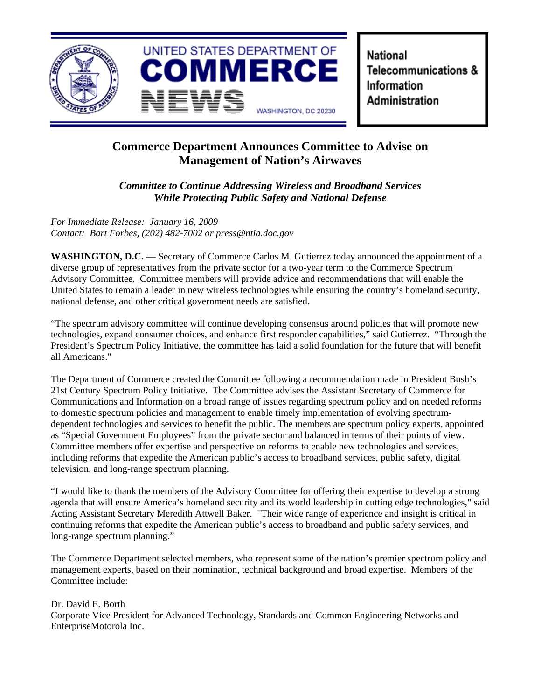

National Telecommunications & Information Administration

## **Commerce Department Announces Committee to Advise on Management of Nation's Airwaves**

*Committee to Continue Addressing Wireless and Broadband Services While Protecting Public Safety and National Defense*

*For Immediate Release: January 16, 2009 Contact: Bart Forbes, (202) 482-7002 or press@ntia.doc.gov*

WASHINGTON, D.C. — Secretary of Commerce Carlos M. Gutierrez today announced the appointment of a diverse group of representatives from the private sector for a two-year term to the Commerce Spectrum Advisory Committee. Committee members will provide advice and recommendations that will enable the United States to remain a leader in new wireless technologies while ensuring the country's homeland security, national defense, and other critical government needs are satisfied.

"The spectrum advisory committee will continue developing consensus around policies that will promote new technologies, expand consumer choices, and enhance first responder capabilities," said Gutierrez. "Through the President's Spectrum Policy Initiative, the committee has laid a solid foundation for the future that will benefit all Americans."

The Department of Commerce created the Committee following a recommendation made in President Bush's 21st Century Spectrum Policy Initiative. The Committee advises the Assistant Secretary of Commerce for Communications and Information on a broad range of issues regarding spectrum policy and on needed reforms to domestic spectrum policies and management to enable timely implementation of evolving spectrumdependent technologies and services to benefit the public. The members are spectrum policy experts, appointed as "Special Government Employees" from the private sector and balanced in terms of their points of view. Committee members offer expertise and perspective on reforms to enable new technologies and services, including reforms that expedite the American public's access to broadband services, public safety, digital television, and long-range spectrum planning.

"I would like to thank the members of the Advisory Committee for offering their expertise to develop a strong agenda that will ensure America's homeland security and its world leadership in cutting edge technologies," said Acting Assistant Secretary Meredith Attwell Baker. "Their wide range of experience and insight is critical in continuing reforms that expedite the American public's access to broadband and public safety services, and long-range spectrum planning."

The Commerce Department selected members, who represent some of the nation's premier spectrum policy and management experts, based on their nomination, technical background and broad expertise. Members of the Committee include:

Dr. David E. Borth Corporate Vice President for Advanced Technology, Standards and Common Engineering Networks and EnterpriseMotorola Inc.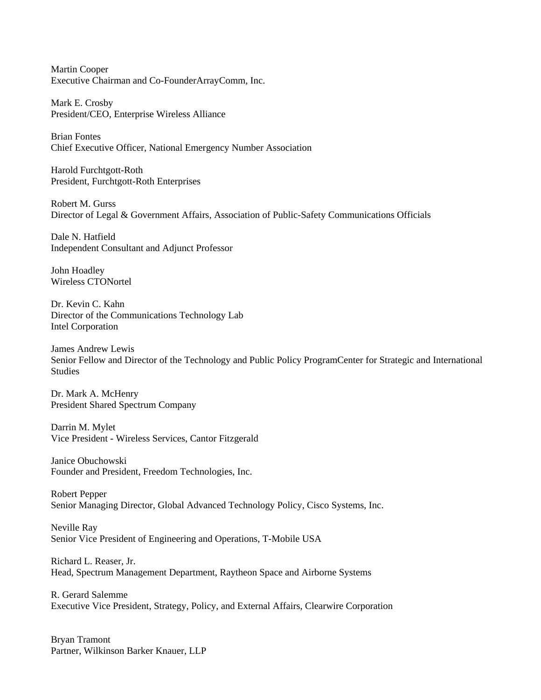Martin Cooper Executive Chairman and Co-FounderArrayComm, Inc.

Mark E. Crosby President/CEO, Enterprise Wireless Alliance

Brian Fontes Chief Executive Officer, National Emergency Number Association

Harold Furchtgott-Roth President, Furchtgott-Roth Enterprises

Robert M. Gurss Director of Legal & Government Affairs, Association of Public-Safety Communications Officials

Dale N. Hatfield Independent Consultant and Adjunct Professor

John Hoadley Wireless CTONortel

Dr. Kevin C. Kahn Director of the Communications Technology Lab Intel Corporation

James Andrew Lewis Senior Fellow and Director of the Technology and Public Policy ProgramCenter for Strategic and International **Studies** 

Dr. Mark A. McHenry President Shared Spectrum Company

Darrin M. Mylet Vice President - Wireless Services, Cantor Fitzgerald

Janice Obuchowski Founder and President, Freedom Technologies, Inc.

Robert Pepper Senior Managing Director, Global Advanced Technology Policy, Cisco Systems, Inc.

Neville Ray Senior Vice President of Engineering and Operations, T-Mobile USA

Richard L. Reaser, Jr. Head, Spectrum Management Department, Raytheon Space and Airborne Systems

R. Gerard Salemme Executive Vice President, Strategy, Policy, and External Affairs, Clearwire Corporation

Bryan Tramont Partner, Wilkinson Barker Knauer, LLP